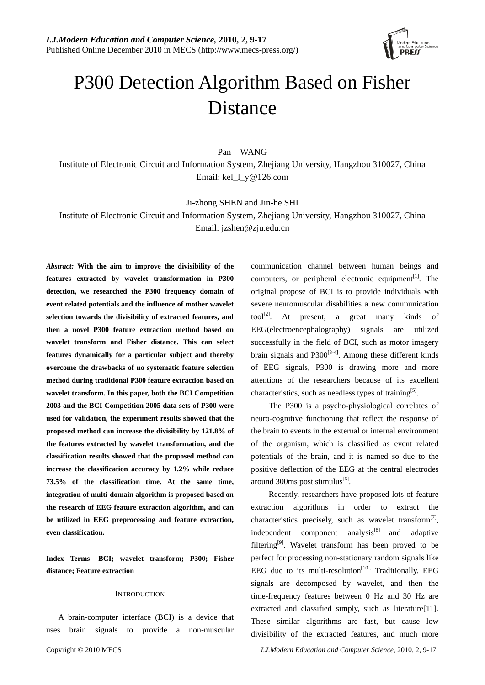

# P300 Detection Algorithm Based on Fisher Distance

Pan WANG

Institute of Electronic Circuit and Information System, Zhejiang University, Hangzhou 310027, China Email: kel\_l\_y@126.com

Ji-zhong SHEN and Jin-he SHI

Institute of Electronic Circuit and Information System, Zhejiang University, Hangzhou 310027, China Email: jzshen@zju.edu.cn

*Abstract:* **With the aim to improve the divisibility of the features extracted by wavelet transformation in P300 detection, we researched the P300 frequency domain of event related potentials and the influence of mother wavelet selection towards the divisibility of extracted features, and then a novel P300 feature extraction method based on wavelet transform and Fisher distance. This can select features dynamically for a particular subject and thereby overcome the drawbacks of no systematic feature selection method during traditional P300 feature extraction based on wavelet transform. In this paper, both the BCI Competition 2003 and the BCI Competition 2005 data sets of P300 were used for validation, the experiment results showed that the proposed method can increase the divisibility by 121.8% of the features extracted by wavelet transformation, and the classification results showed that the proposed method can increase the classification accuracy by 1.2% while reduce 73.5% of the classification time. At the same time, integration of multi-domain algorithm is proposed based on the research of EEG feature extraction algorithm, and can be utilized in EEG preprocessing and feature extraction, even classification.** 

**Index Terms**—**BCI; wavelet transform; P300; Fisher distance; Feature extraction** 

# **INTRODUCTION**

 A brain-computer interface (BCI) is a device that uses brain signals to provide a non-muscular communication channel between human beings and computers, or peripheral electronic equipment<sup>[1]</sup>. The original propose of BCI is to provide individuals with severe neuromuscular disabilities a new communication tool<sup>[2]</sup>. At present, a great many kinds of EEG(electroencephalography) signals are utilized successfully in the field of BCI, such as motor imagery brain signals and  $P300^{[3-4]}$ . Among these different kinds of EEG signals, P300 is drawing more and more attentions of the researchers because of its excellent characteristics, such as needless types of training<sup>[5]</sup>.

The P300 is a psycho-physiological correlates of neuro-cognitive functioning that reflect the response of the brain to events in the external or internal environment of the organism, which is classified as event related potentials of the brain, and it is named so due to the positive deflection of the EEG at the central electrodes around 300ms post stimulus $^{[6]}$ .

Recently, researchers have proposed lots of feature extraction algorithms in order to extract the characteristics precisely, such as wavelet transform $[7]$ , independent component analysis $[8]$  and adaptive filtering[9]. Wavelet transform has been proved to be perfect for processing non-stationary random signals like EEG due to its multi-resolution<sup>[10].</sup> Traditionally, EEG signals are decomposed by wavelet, and then the time-frequency features between 0 Hz and 30 Hz are extracted and classified simply, such as literature[11]. These similar algorithms are fast, but cause low divisibility of the extracted features, and much more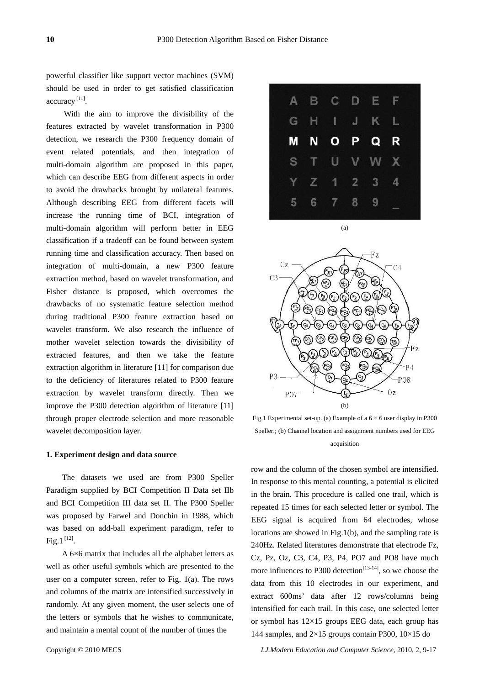powerful classifier like support vector machines (SVM) should be used in order to get satisfied classification accuracy [11].

With the aim to improve the divisibility of the features extracted by wavelet transformation in P300 detection, we research the P300 frequency domain of event related potentials, and then integration of multi-domain algorithm are proposed in this paper, which can describe EEG from different aspects in order to avoid the drawbacks brought by unilateral features. Although describing EEG from different facets will increase the running time of BCI, integration of multi-domain algorithm will perform better in EEG classification if a tradeoff can be found between system running time and classification accuracy. Then based on integration of multi-domain, a new P300 feature extraction method, based on wavelet transformation, and Fisher distance is proposed, which overcomes the drawbacks of no systematic feature selection method during traditional P300 feature extraction based on wavelet transform. We also research the influence of mother wavelet selection towards the divisibility of extracted features, and then we take the feature extraction algorithm in literature [11] for comparison due to the deficiency of literatures related to P300 feature extraction by wavelet transform directly. Then we improve the P300 detection algorithm of literature [11] through proper electrode selection and more reasonable wavelet decomposition layer.

## **1. Experiment design and data source**

The datasets we used are from P300 Speller Paradigm supplied by BCI Competition II Data set IIb and BCI Competition III data set II. The P300 Speller was proposed by Farwel and Donchin in 1988, which was based on add-ball experiment paradigm, refer to  $Fig.1<sup>[12]</sup>$ .

A 6×6 matrix that includes all the alphabet letters as well as other useful symbols which are presented to the user on a computer screen, refer to Fig. 1(a). The rows and columns of the matrix are intensified successively in randomly. At any given moment, the user selects one of the letters or symbols that he wishes to communicate, and maintain a mental count of the number of times the



(a)



Fig.1 Experimental set-up. (a) Example of a  $6 \times 6$  user display in P300 Speller.; (b) Channel location and assignment numbers used for EEG acquisition

row and the column of the chosen symbol are intensified. In response to this mental counting, a potential is elicited in the brain. This procedure is called one trail, which is repeated 15 times for each selected letter or symbol. The EEG signal is acquired from 64 electrodes, whose locations are showed in Fig.1(b), and the sampling rate is 240Hz. Related literatures demonstrate that electrode Fz, Cz, Pz, Oz, C3, C4, P3, P4, PO7 and PO8 have much more influences to P300 detection<sup>[13-14]</sup>, so we choose the data from this 10 electrodes in our experiment, and extract 600ms' data after 12 rows/columns being intensified for each trail. In this case, one selected letter or symbol has  $12\times15$  groups EEG data, each group has 144 samples, and  $2\times15$  groups contain P300,  $10\times15$  do

Copyright © 2010 MECS *I.J.Modern Education and Computer Science,* 2010, 2, 9-17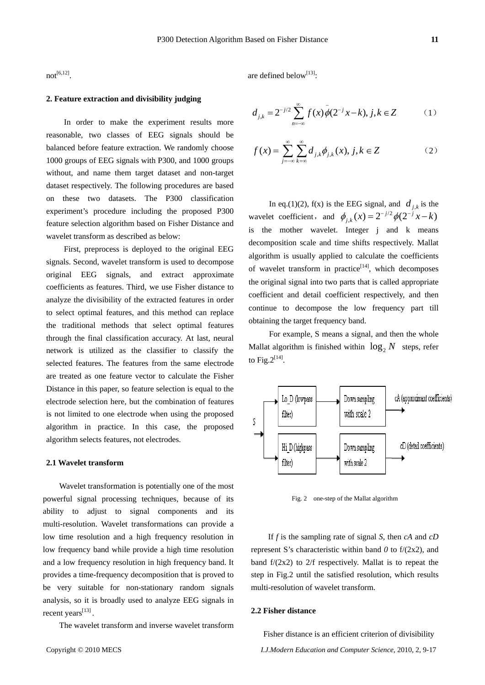$not^{[6,12]}$ .

are defined below<sup>[13]</sup>:

# **2. Feature extraction and divisibility judging**

In order to make the experiment results more reasonable, two classes of EEG signals should be balanced before feature extraction. We randomly choose 1000 groups of EEG signals with P300, and 1000 groups without, and name them target dataset and non-target dataset respectively. The following procedures are based on these two datasets. The P300 classification experiment's procedure including the proposed P300 feature selection algorithm based on Fisher Distance and wavelet transform as described as below:

First, preprocess is deployed to the original EEG signals. Second, wavelet transform is used to decompose original EEG signals, and extract approximate coefficients as features. Third, we use Fisher distance to analyze the divisibility of the extracted features in order to select optimal features, and this method can replace the traditional methods that select optimal features through the final classification accuracy. At last, neural network is utilized as the classifier to classify the selected features. The features from the same electrode are treated as one feature vector to calculate the Fisher Distance in this paper, so feature selection is equal to the electrode selection here, but the combination of features is not limited to one electrode when using the proposed algorithm in practice. In this case, the proposed algorithm selects features, not electrodes.

#### **2.1 Wavelet transform**

 Wavelet transformation is potentially one of the most powerful signal processing techniques, because of its ability to adjust to signal components and its multi-resolution. Wavelet transformations can provide a low time resolution and a high frequency resolution in low frequency band while provide a high time resolution and a low frequency resolution in high frequency band. It provides a time-frequency decomposition that is proved to be very suitable for non-stationary random signals analysis, so it is broadly used to analyze EEG signals in recent years<sup>[13]</sup>.

The wavelet transform and inverse wavelet transform

$$
f(x) = \sum_{j=-\infty}^{\infty} \sum_{k=\infty}^{\infty} d_{j,k} \phi_{j,k}(x), j, k \in \mathbb{Z}
$$
 (2)

In eq.(1)(2), f(x) is the EEG signal, and  $d_{j,k}$  is the wavelet coefficient, and  $\phi_{j,k}(x) = 2^{-j/2} \phi(2^{-j} x - k)$ is the mother wavelet. Integer j and k means decomposition scale and time shifts respectively. Mallat algorithm is usually applied to calculate the coefficients of wavelet transform in practice<sup>[14]</sup>, which decomposes the original signal into two parts that is called appropriate coefficient and detail coefficient respectively, and then continue to decompose the low frequency part till obtaining the target frequency band.

For example, S means a signal, and then the whole Mallat algorithm is finished within  $\log_2 N$  steps, refer to Fig. $2^{[14]}$ .



Fig. 2 one-step of the Mallat algorithm

If *f* is the sampling rate of signal *S*, then *cA* and *cD* represent S's characteristic within band *0* to f/(2x2), and band  $f/(2x^2)$  to  $2/f$  respectively. Mallat is to repeat the step in Fig.2 until the satisfied resolution, which results multi-resolution of wavelet transform.

## **2.2 Fisher distance**

Copyright © 2010 MECS *I.J.Modern Education and Computer Science,* 2010, 2, 9-17 Fisher distance is an efficient criterion of divisibility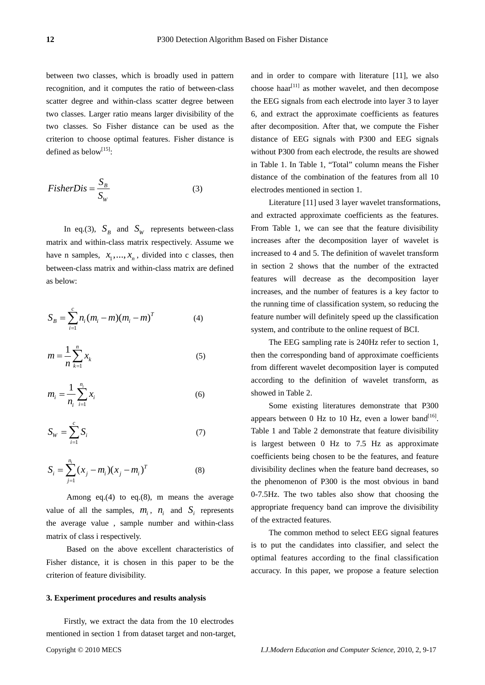between two classes, which is broadly used in pattern recognition, and it computes the ratio of between-class scatter degree and within-class scatter degree between two classes. Larger ratio means larger divisibility of the two classes. So Fisher distance can be used as the criterion to choose optimal features. Fisher distance is defined as below<sup>[15]</sup>:

$$
FisherDis = \frac{S_B}{S_W} \tag{3}
$$

In eq.(3),  $S_R$  and  $S_W$  represents between-class matrix and within-class matrix respectively. Assume we have n samples,  $x_1, \ldots, x_n$ , divided into c classes, then between-class matrix and within-class matrix are defined as below:

$$
S_B = \sum_{i=1}^{c} n_i (m_i - m) (m_i - m)^T
$$
 (4)

$$
m = \frac{1}{n} \sum_{k=1}^{n} x_k
$$
\n<sup>(5)</sup>

$$
m_i = \frac{1}{n_i} \sum_{i=1}^{n_i} x_i
$$
 (6)

$$
S_W = \sum_{i=1}^{c} S_i \tag{7}
$$

$$
S_i = \sum_{j=1}^{n_i} (x_j - m_i)(x_j - m_i)^T
$$
 (8)

 Among eq.(4) to eq.(8), m means the average value of all the samples,  $m_i$ ,  $n_i$  and  $S_i$  represents the average value , sample number and within-class matrix of class i respectively.

 Based on the above excellent characteristics of Fisher distance, it is chosen in this paper to be the criterion of feature divisibility.

#### **3. Experiment procedures and results analysis**

Copyright © 2010 MECS *I.J.Modern Education and Computer Science,* 2010, 2, 9-17 Firstly, we extract the data from the 10 electrodes mentioned in section 1 from dataset target and non-target,

and in order to compare with literature [11], we also choose haar<sup>[11]</sup> as mother wavelet, and then decompose the EEG signals from each electrode into layer 3 to layer 6, and extract the approximate coefficients as features after decomposition. After that, we compute the Fisher distance of EEG signals with P300 and EEG signals without P300 from each electrode, the results are showed in Table 1. In Table 1, "Total" column means the Fisher distance of the combination of the features from all 10 electrodes mentioned in section 1.

Literature [11] used 3 layer wavelet transformations, and extracted approximate coefficients as the features. From Table 1, we can see that the feature divisibility increases after the decomposition layer of wavelet is increased to 4 and 5. The definition of wavelet transform in section 2 shows that the number of the extracted features will decrease as the decomposition layer increases, and the number of features is a key factor to the running time of classification system, so reducing the feature number will definitely speed up the classification system, and contribute to the online request of BCI.

The EEG sampling rate is 240Hz refer to section 1, then the corresponding band of approximate coefficients from different wavelet decomposition layer is computed according to the definition of wavelet transform, as showed in Table 2.

Some existing literatures demonstrate that P300 appears between 0 Hz to 10 Hz, even a lower band<sup>[16]</sup>. Table 1 and Table 2 demonstrate that feature divisibility is largest between 0 Hz to 7.5 Hz as approximate coefficients being chosen to be the features, and feature divisibility declines when the feature band decreases, so the phenomenon of P300 is the most obvious in band 0-7.5Hz. The two tables also show that choosing the appropriate frequency band can improve the divisibility of the extracted features.

The common method to select EEG signal features is to put the candidates into classifier, and select the optimal features according to the final classification accuracy. In this paper, we propose a feature selection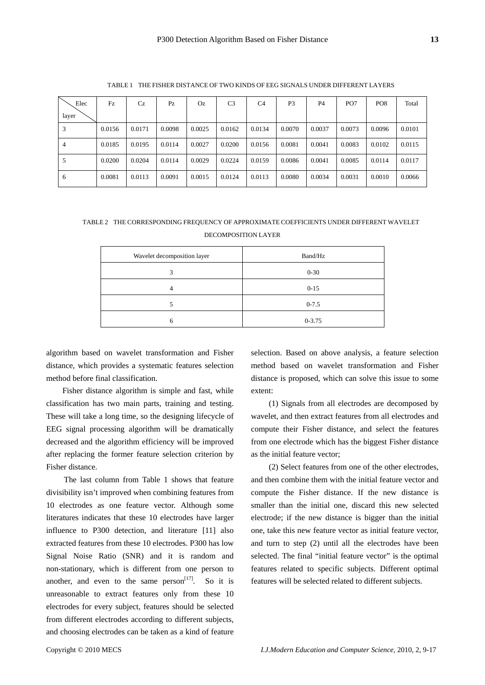| I      |
|--------|
|        |
| w<br>I |
|        |

| Elec<br>layer | Fz     | Cz     | Pz     | Oz     | C3     | C <sub>4</sub> | P <sub>3</sub> | P4     | PO <sub>7</sub> | PO <sub>8</sub> | Total  |
|---------------|--------|--------|--------|--------|--------|----------------|----------------|--------|-----------------|-----------------|--------|
| 3             | 0.0156 | 0.0171 | 0.0098 | 0.0025 | 0.0162 | 0.0134         | 0.0070         | 0.0037 | 0.0073          | 0.0096          | 0.0101 |
| 4             | 0.0185 | 0.0195 | 0.0114 | 0.0027 | 0.0200 | 0.0156         | 0.0081         | 0.0041 | 0.0083          | 0.0102          | 0.0115 |
|               | 0.0200 | 0.0204 | 0.0114 | 0.0029 | 0.0224 | 0.0159         | 0.0086         | 0.0041 | 0.0085          | 0.0114          | 0.0117 |
| 6             | 0.0081 | 0.0113 | 0.0091 | 0.0015 | 0.0124 | 0.0113         | 0.0080         | 0.0034 | 0.0031          | 0.0010          | 0.0066 |

TABLE 1 THE FISHER DISTANCE OF TWO KINDS OF EEG SIGNALS UNDER DIFFERENT LAYERS

# TABLE 2 THE CORRESPONDING FREQUENCY OF APPROXIMATE COEFFICIENTS UNDER DIFFERENT WAVELET DECOMPOSITION LAYER

| Wavelet decomposition layer | Band/Hz    |
|-----------------------------|------------|
| 3                           | $0 - 30$   |
| 4                           | $0 - 15$   |
| 5                           | $0 - 7.5$  |
| 6                           | $0 - 3.75$ |

algorithm based on wavelet transformation and Fisher distance, which provides a systematic features selection method before final classification.

Fisher distance algorithm is simple and fast, while classification has two main parts, training and testing. These will take a long time, so the designing lifecycle of EEG signal processing algorithm will be dramatically decreased and the algorithm efficiency will be improved after replacing the former feature selection criterion by Fisher distance.

The last column from Table 1 shows that feature divisibility isn't improved when combining features from 10 electrodes as one feature vector. Although some literatures indicates that these 10 electrodes have larger influence to P300 detection, and literature [11] also extracted features from these 10 electrodes. P300 has low Signal Noise Ratio (SNR) and it is random and non-stationary, which is different from one person to another, and even to the same  $person<sup>[17]</sup>$ . So it is unreasonable to extract features only from these 10 electrodes for every subject, features should be selected from different electrodes according to different subjects, and choosing electrodes can be taken as a kind of feature selection. Based on above analysis, a feature selection method based on wavelet transformation and Fisher distance is proposed, which can solve this issue to some extent:

(1) Signals from all electrodes are decomposed by wavelet, and then extract features from all electrodes and compute their Fisher distance, and select the features from one electrode which has the biggest Fisher distance as the initial feature vector;

(2) Select features from one of the other electrodes, and then combine them with the initial feature vector and compute the Fisher distance. If the new distance is smaller than the initial one, discard this new selected electrode; if the new distance is bigger than the initial one, take this new feature vector as initial feature vector, and turn to step (2) until all the electrodes have been selected. The final "initial feature vector" is the optimal features related to specific subjects. Different optimal features will be selected related to different subjects.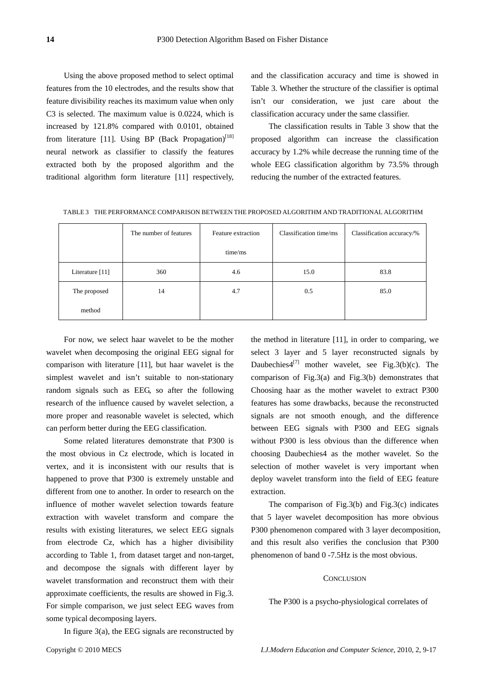Using the above proposed method to select optimal features from the 10 electrodes, and the results show that feature divisibility reaches its maximum value when only C3 is selected. The maximum value is 0.0224, which is increased by 121.8% compared with 0.0101, obtained from literature [11]. Using BP (Back Propagation)<sup>[18]</sup> neural network as classifier to classify the features extracted both by the proposed algorithm and the traditional algorithm form literature [11] respectively, and the classification accuracy and time is showed in Table 3. Whether the structure of the classifier is optimal isn't our consideration, we just care about the classification accuracy under the same classifier.

The classification results in Table 3 show that the proposed algorithm can increase the classification accuracy by 1.2% while decrease the running time of the whole EEG classification algorithm by 73.5% through reducing the number of the extracted features.

|                 | The number of features | Feature extraction | Classification time/ms | Classification accuracy/% |  |
|-----------------|------------------------|--------------------|------------------------|---------------------------|--|
|                 |                        | time/ms            |                        |                           |  |
| Literature [11] | 360                    | 4.6                | 15.0                   | 83.8                      |  |
| The proposed    | 14                     | 4.7                | 0.5                    | 85.0                      |  |
| method          |                        |                    |                        |                           |  |

TABLE 3 THE PERFORMANCE COMPARISON BETWEEN THE PROPOSED ALGORITHM AND TRADITIONAL ALGORITHM

For now, we select haar wavelet to be the mother wavelet when decomposing the original EEG signal for comparison with literature [11], but haar wavelet is the simplest wavelet and isn't suitable to non-stationary random signals such as EEG, so after the following research of the influence caused by wavelet selection, a more proper and reasonable wavelet is selected, which can perform better during the EEG classification.

Some related literatures demonstrate that P300 is the most obvious in Cz electrode, which is located in vertex, and it is inconsistent with our results that is happened to prove that P300 is extremely unstable and different from one to another. In order to research on the influence of mother wavelet selection towards feature extraction with wavelet transform and compare the results with existing literatures, we select EEG signals from electrode Cz, which has a higher divisibility according to Table 1, from dataset target and non-target, and decompose the signals with different layer by wavelet transformation and reconstruct them with their approximate coefficients, the results are showed in Fig.3. For simple comparison, we just select EEG waves from some typical decomposing layers.

the method in literature [11], in order to comparing, we select 3 layer and 5 layer reconstructed signals by Daubechies $4^{[7]}$  mother wavelet, see Fig.3(b)(c). The comparison of Fig.3(a) and Fig.3(b) demonstrates that Choosing haar as the mother wavelet to extract P300 features has some drawbacks, because the reconstructed signals are not smooth enough, and the difference between EEG signals with P300 and EEG signals without P300 is less obvious than the difference when choosing Daubechies4 as the mother wavelet. So the selection of mother wavelet is very important when deploy wavelet transform into the field of EEG feature extraction.

The comparison of Fig.3(b) and Fig.3(c) indicates that 5 layer wavelet decomposition has more obvious P300 phenomenon compared with 3 layer decomposition, and this result also verifies the conclusion that P300 phenomenon of band 0 -7.5Hz is the most obvious.

#### **CONCLUSION**

#### The P300 is a psycho-physiological correlates of

In figure 3(a), the EEG signals are reconstructed by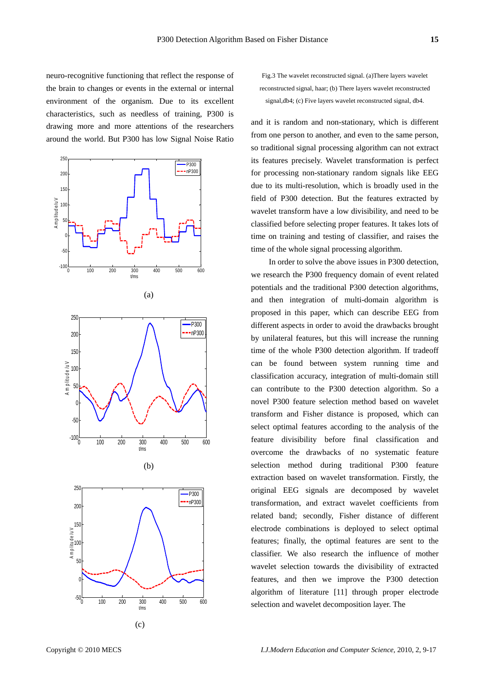neuro-recognitive functioning that reflect the response of the brain to changes or events in the external or internal environment of the organism. Due to its excellent characteristics, such as needless of training, P300 is drawing more and more attentions of the researchers around the world. But P300 has low Signal Noise Ratio



(c)

Fig.3 The wavelet reconstructed signal. (a)There layers wavelet reconstructed signal, haar; (b) There layers wavelet reconstructed signal,db4; (c) Five layers wavelet reconstructed signal, db4.

and it is random and non-stationary, which is different from one person to another, and even to the same person, so traditional signal processing algorithm can not extract its features precisely. Wavelet transformation is perfect for processing non-stationary random signals like EEG due to its multi-resolution, which is broadly used in the field of P300 detection. But the features extracted by wavelet transform have a low divisibility, and need to be classified before selecting proper features. It takes lots of time on training and testing of classifier, and raises the time of the whole signal processing algorithm.

In order to solve the above issues in P300 detection, we research the P300 frequency domain of event related potentials and the traditional P300 detection algorithms, and then integration of multi-domain algorithm is proposed in this paper, which can describe EEG from different aspects in order to avoid the drawbacks brought by unilateral features, but this will increase the running time of the whole P300 detection algorithm. If tradeoff can be found between system running time and classification accuracy, integration of multi-domain still can contribute to the P300 detection algorithm. So a novel P300 feature selection method based on wavelet transform and Fisher distance is proposed, which can select optimal features according to the analysis of the feature divisibility before final classification and overcome the drawbacks of no systematic feature selection method during traditional P300 feature extraction based on wavelet transformation. Firstly, the original EEG signals are decomposed by wavelet transformation, and extract wavelet coefficients from related band; secondly, Fisher distance of different electrode combinations is deployed to select optimal features; finally, the optimal features are sent to the classifier. We also research the influence of mother wavelet selection towards the divisibility of extracted features, and then we improve the P300 detection algorithm of literature [11] through proper electrode selection and wavelet decomposition layer. The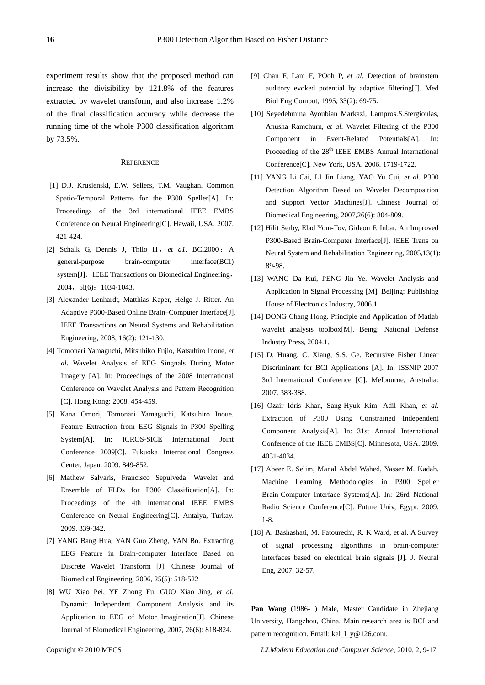experiment results show that the proposed method can increase the divisibility by 121.8% of the features extracted by wavelet transform, and also increase 1.2% of the final classification accuracy while decrease the running time of the whole P300 classification algorithm by 73.5%.

#### **REFERENCE**

- [1] D.J. Krusienski, E.W. Sellers, T.M. Vaughan. Common Spatio-Temporal Patterns for the P300 Speller[A]. In: Proceedings of the 3rd international IEEE EMBS Conference on Neural Engineering[C]. Hawaii, USA. 2007. 421-424.
- [2] Schalk G, Dennis J, Thilo H , *et a1*. BCl2000 : A general-purpose brain-computer interface(BCI) system[J]. IEEE Transactions on Biomedical Engineering, 2004, 51(6): 1034-1043.
- [3] Alexander Lenhardt, Matthias Kaper, Helge J. Ritter. An Adaptive P300-Based Online Brain–Computer Interface[J]. IEEE Transactions on Neural Systems and Rehabilitation Engineering, 2008, 16(2): 121-130.
- [4] Tomonari Yamaguchi, Mitsuhiko Fujio, Katsuhiro Inoue, *et al*. Wavelet Analysis of EEG Singnals During Motor Imagery [A]. In: Proceedings of the 2008 International Conference on Wavelet Analysis and Pattern Recognition [C]. Hong Kong: 2008. 454-459.
- [5] Kana Omori, Tomonari Yamaguchi, Katsuhiro Inoue. Feature Extraction from EEG Signals in P300 Spelling System[A]. In: ICROS-SICE International Joint Conference 2009[C]. Fukuoka International Congress Center, Japan. 2009. 849-852.
- [6] Mathew Salvaris, Francisco Sepulveda. Wavelet and Ensemble of FLDs for P300 Classification[A]. In: Proceedings of the 4th international IEEE EMBS Conference on Neural Engineering[C]. Antalya, Turkay. 2009. 339-342.
- [7] YANG Bang Hua, YAN Guo Zheng, YAN Bo. Extracting EEG Feature in Brain-computer Interface Based on Discrete Wavelet Transform [J]. Chinese Journal of Biomedical Engineering, 2006, 25(5): 518-522
- [8] WU Xiao Pei, YE Zhong Fu, GUO Xiao Jing, *et al*. Dynamic Independent Component Analysis and its Application to EEG of Motor Imagination[J]. Chinese Journal of Biomedical Engineering, 2007, 26(6): 818-824.
- [9] Chan F, Lam F, POoh P, *et al*. Detection of brainstem auditory evoked potential by adaptive filtering[J]. Med Biol Eng Comput, 1995, 33(2): 69-75.
- [10] Seyedehmina Ayoubian Markazi, Lampros.S.Stergioulas, Anusha Ramchurn, *et al*. Wavelet Filtering of the P300 Component in Event-Related Potentials[A]. In: Proceeding of the 28<sup>th</sup> IEEE EMBS Annual International Conference[C]. New York, USA. 2006. 1719-1722.
- [11] YANG Li Cai, LI Jin Liang, YAO Yu Cui, *et al*. P300 Detection Algorithm Based on Wavelet Decomposition and Support Vector Machines[J]. Chinese Journal of Biomedical Engineering, 2007,26(6): 804-809.
- [12] Hilit Serby, Elad Yom-Tov, Gideon F. Inbar. An Improved P300-Based Brain-Computer Interface[J]. IEEE Trans on Neural System and Rehabilitation Engineering, 2005,13(1): 89-98.
- [13] WANG Da Kui, PENG Jin Ye. Wavelet Analysis and Application in Signal Processing [M]. Beijing: Publishing House of Electronics Industry, 2006.1.
- [14] DONG Chang Hong. Principle and Application of Matlab wavelet analysis toolbox[M]. Being: National Defense Industry Press, 2004.1.
- [15] D. Huang, C. Xiang, S.S. Ge. Recursive Fisher Linear Discriminant for BCI Applications [A]. In: ISSNIP 2007 3rd International Conference [C]. Melbourne, Australia: 2007. 383-388.
- [16] Ozair Idris Khan, Sang-Hyuk Kim, Adil Khan, *et al*. Extraction of P300 Using Constrained Independent Component Analysis[A]. In: 31st Annual International Conference of the IEEE EMBS[C]. Minnesota, USA. 2009. 4031-4034.
- [17] Abeer E. Selim, Manal Abdel Wahed, Yasser M. Kadah. Machine Learning Methodologies in P300 Speller Brain-Computer Interface Systems[A]. In: 26rd National Radio Science Conference[C]. Future Univ, Egypt. 2009. 1-8.
- [18] A. Bashashati, M. Fatourechi, R. K Ward, et al. A Survey of signal processing algorithms in brain-computer interfaces based on electrical brain signals [J]. J. Neural Eng, 2007, 32-57.

**Pan Wang** (1986- ) Male, Master Candidate in Zhejiang University, Hangzhou, China. Main research area is BCI and pattern recognition. Email: kel\_l\_y@126.com.

Copyright © 2010 MECS *I.J.Modern Education and Computer Science,* 2010, 2, 9-17